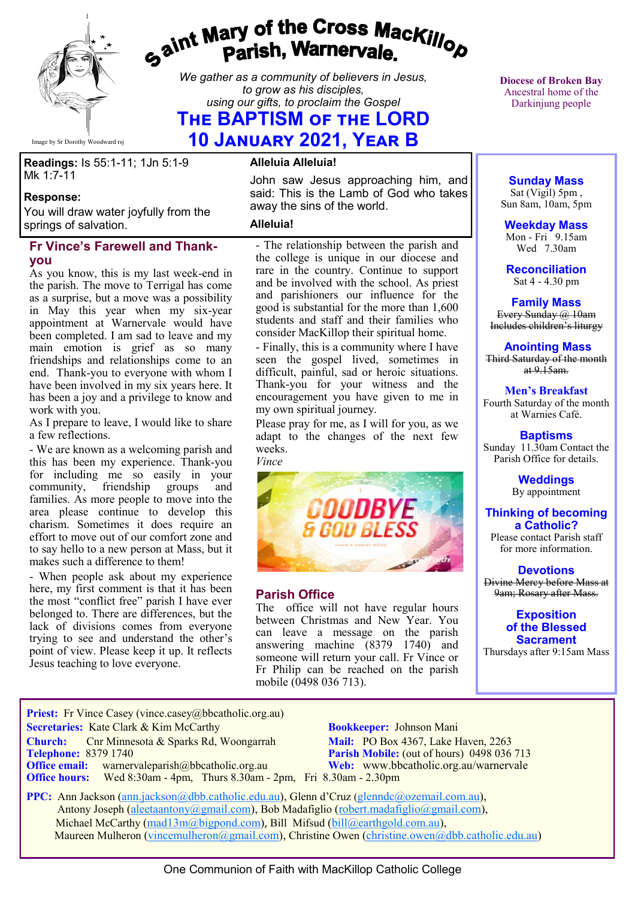

# gaint Mary of the Cross Mackillop<br>Parish, Warnervale.

*We gather as a community of believers in Jesus, to grow as his disciples, using our gifts, to proclaim the Gospel*

# **The BAPTISM of the LORD 10 January 2021, Year B**

**Readings:** Is 55:1-11; 1Jn 5:1-9 Mk 1:7-11

#### **Response:**

You will draw water joyfully from the springs of salvation.

### **Fr Vince's Farewell and Thankyou**

As you know, this is my last week-end in the parish. The move to Terrigal has come as a surprise, but a move was a possibility in May this year when my six-year appointment at Warnervale would have been completed. I am sad to leave and my main emotion is grief as so many friendships and relationships come to an end. Thank-you to everyone with whom I have been involved in my six years here. It has been a joy and a privilege to know and work with you.

As I prepare to leave, I would like to share a few reflections.

- We are known as a welcoming parish and this has been my experience. Thank-you for including me so easily in your community, friendship groups and families. As more people to move into the area please continue to develop this charism. Sometimes it does require an effort to move out of our comfort zone and to say hello to a new person at Mass, but it makes such a difference to them!

- When people ask about my experience here, my first comment is that it has been the most "conflict free" parish I have ever belonged to. There are differences, but the lack of divisions comes from everyone trying to see and understand the other's point of view. Please keep it up. It reflects Jesus teaching to love everyone.

# **Alleluia Alleluia!**

John saw Jesus approaching him, and said: This is the Lamb of God who takes away the sins of the world.

### **Alleluia!**

- The relationship between the parish and the college is unique in our diocese and rare in the country. Continue to support and be involved with the school. As priest and parishioners our influence for the good is substantial for the more than 1,600 students and staff and their families who consider MacKillop their spiritual home.

- Finally, this is a community where I have seen the gospel lived, sometimes in difficult, painful, sad or heroic situations. Thank-you for your witness and the encouragement you have given to me in my own spiritual journey.

Please pray for me, as I will for you, as we adapt to the changes of the next few weeks. *Vince*



### **Parish Office**

The office will not have regular hours between Christmas and New Year. You can leave a message on the parish answering machine (8379 1740) and someone will return your call. Fr Vince or Fr Philip can be reached on the parish mobile (0498 036 713).

**Diocese of Broken Bay**  Ancestral home of the Darkinjung people

#### **Sunday Mass** Sat (Vigil) 5pm , Sun 8am, 10am, 5pm

**Weekday Mass** Mon - Fri 9.15am Wed 7.30am

**Reconciliation** Sat 4 - 4.30 pm

**Family Mass**  Every Sunday @ 10am Includes children's liturgy

**Anointing Mass** Third Saturday of the month at  $9.15$ am.

**Men's Breakfast** Fourth Saturday of the month at Warnies Café.

**Baptisms** Sunday 11.30am Contact the Parish Office for details.

> **Weddings**  By appointment

#### **Thinking of becoming a Catholic?** Please contact Parish staff

for more information.

#### **Devotions** Divine Mercy before Mass at 9am; Rosary after Mass.

**Exposition of the Blessed Sacrament**

Thursdays after 9:15am Mass

**Priest:** Fr Vince Casey (vince.casey@bbcatholic.org.au)  **Secretaries:** Kate Clark & Kim McCarthy **Bookkeeper:** Johnson Mani **Church:** Cnr Minnesota & Sparks Rd, Woongarrah **Mail:** PO Box 4367, Lake Haven, 2263<br> **Telephone:** 8379 1740 **Parish Mobile:** (out of hours) 0498 036 **Office email:** warnervaleparish@bbcatholic.org.au **Web:** [www.bbcatholic.org.au/warnervale](https://www.bbcatholic.org.au/warnervale)

**Office hours:** Wed 8:30am - 4pm, Thurs 8.30am - 2pm, Fri 8.30am - 2.30pm

**Parish Mobile:** (out of hours) 0498 036 713

 **PPC:** Ann Jackson ([ann.jackson@dbb.catholic.edu.au\),](mailto:ann.jackson@dbb.catholic.edu.au) Glenn d'Cruz ([glenndc@ozemail.com.au\)](mailto:glenndc@ozemail.com.au), Antony Joseph ([aleetaantony@gmail.com\),](mailto:aleetaantony@gmail.com) Bob Madafiglio [\(robert.madafiglio@gmail.com\),](mailto:robert.madafiglio@gmail.com) Michael McCarthy ([mad13m@bigpond.com\)](mailto:mad13m@bigpond.com), Bill Mifsud ([bill@earthgold.com.au\),](mailto:bill@earthgold.com.au) Maureen Mulheron ([vincemulheron@gmail.com\)](mailto:vincemulheron@gmail.com), Christine Owen (christine.owen[@dbb.catholic.edu.au\)](mailto:ann.jackson@dbb.catholic.edu.au)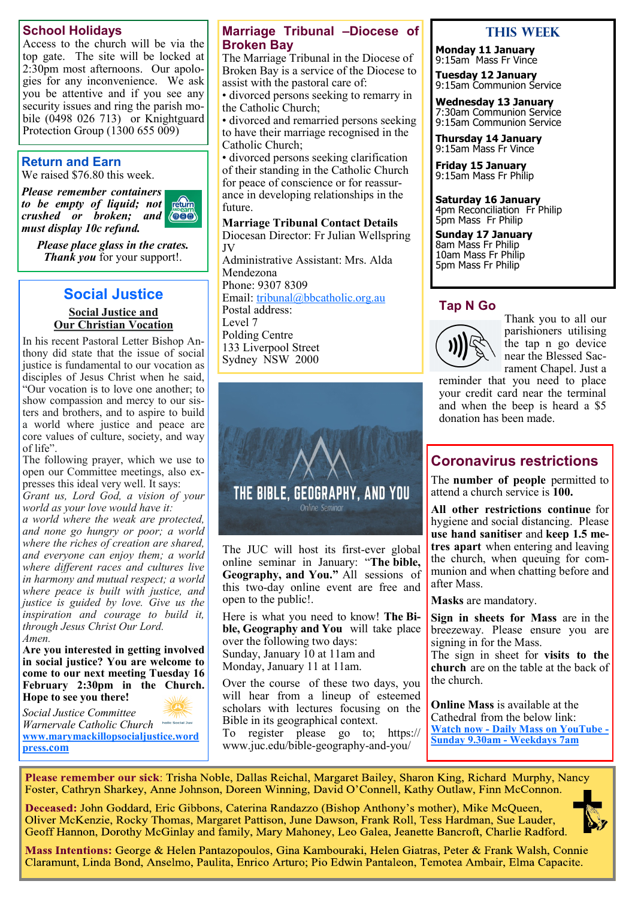# **School Holidays**

Access to the church will be via the top gate. The site will be locked at 2:30pm most afternoons. Our apologies for any inconvenience. We ask you be attentive and if you see any security issues and ring the parish mobile (0498 026 713) or Knightguard Protection Group (1300 655 009)

# **Return and Earn**

We raised \$76.80 this week.

*Please remember containers to be empty of liquid; not crushed or broken; and must display 10c refund.* 

return

*Please place glass in the crates. Thank you* for your support!.

# **Social Justice**

**Social Justice and Our Christian Vocation**

In his recent Pastoral Letter Bishop Anthony did state that the issue of social justice is fundamental to our vocation as disciples of Jesus Christ when he said, "Our vocation is to love one another; to show compassion and mercy to our sisters and brothers, and to aspire to build a world where justice and peace are core values of culture, society, and way of life".

The following prayer, which we use to open our Committee meetings, also expresses this ideal very well. It says:

*Grant us, Lord God, a vision of your world as your love would have it:*

*a world where the weak are protected, and none go hungry or poor; a world where the riches of creation are shared, and everyone can enjoy them; a world where different races and cultures live in harmony and mutual respect; a world where peace is built with justice, and justice is guided by love. Give us the inspiration and courage to build it, through Jesus Christ Our Lord. Amen.*

**Are you interested in getting involved in social justice? You are welcome to come to our next meeting Tuesday 16 February 2:30pm in the Church. Hope to see you there!**

*Social Justice Committee Warnervale Catholic Church*  **[www.marymackillopsocialjustice.word](http://www.marymackillopsocialjustice.wordpress.com) press[.com](http://www.marymackillopsocialjustice.wordpress.com)**

### **Marriage Tribunal –Diocese of Broken Bay**

The Marriage Tribunal in the Diocese of Broken Bay is a service of the Diocese to assist with the pastoral care of:

• divorced persons seeking to remarry in the Catholic Church;

• divorced and remarried persons seeking to have their marriage recognised in the Catholic Church;

• divorced persons seeking clarification of their standing in the Catholic Church for peace of conscience or for reassurance in developing relationships in the future.

**Marriage Tribunal Contact Details** Diocesan Director: Fr Julian Wellspring JV

Administrative Assistant: Mrs. Alda Mendezona

Phone: 9307 8309 Email: [tribunal@bbcatholic.org.au](mailto:tribunal@bbcatholic.org.au) Postal address: Level 7 Polding Centre

133 Liverpool Street Sydney NSW 2000



Online Seminar

The JUC will host its first-ever global online seminar in January: "**The bible, Geography, and You."** All sessions of this two-day online event are free and open to the public!.

Here is what you need to know! **The Bible, Geography and You** will take place over the following two days: Sunday, January 10 at 11am and Monday, January 11 at 11am.

Over the course of these two days, you will hear from a lineup of esteemed scholars with lectures focusing on the Bible in its geographical context.

To register please go to; https:// www.juc.edu/bible-geography-and-you/

# **This Week**

**Monday 11 January** 9:15am Mass Fr Vince

**Tuesday 12 January** 9:15am Communion Service

**Wednesday 13 January** 7:30am Communion Service 9:15am Communion Service

**Thursday 14 January** 9:15am Mass Fr Vince

**Friday 15 January**  9:15am Mass Fr Philip

**Saturday 16 January** 4pm Reconciliation Fr Philip 5pm Mass Fr Philip

**Sunday 17 January** 8am Mass Fr Philip 10am Mass Fr Philip 5pm Mass Fr Philip

# **Tap N Go**



Thank you to all our parishioners utilising the tap n go device near the Blessed Sacrament Chapel. Just a

reminder that you need to place your credit card near the terminal and when the beep is heard a \$5 donation has been made.

# **Coronavirus restrictions**

The **number of people** permitted to attend a church service is **100.**

**All other restrictions continue** for hygiene and social distancing. Please **use hand sanitiser** and **keep 1.5 metres apart** when entering and leaving the church, when queuing for communion and when chatting before and after Mass.

**Masks** are mandatory.

**Sign in sheets for Mass** are in the breezeway. Please ensure you are signing in for the Mass.

The sign in sheet for **visits to the church** are on the table at the back of the church.

**Online Mass** is available at the Cathedral from the below link: **Watch now - [Daily Mass on YouTube](https://www.youtube.com/channel/UCNenwlfI7i14XB9TsVBrLvQ/) - [Sunday 9.30am](https://www.youtube.com/channel/UCNenwlfI7i14XB9TsVBrLvQ/) - Weekdays 7am**

Please remember our sick: Trisha Noble, Dallas Reichal, Margaret Bailey, Sharon King, Richard Murphy, Nancy Foster, Cathryn Sharkey, Anne Johnson, Doreen Winning, David O'Connell, Kathy Outlaw, Finn McConnon.

Deceased: John Goddard, Eric Gibbons, Caterina Randazzo (Bishop Anthony's mother), Mike McQueen, Oliver McKenzie, Rocky Thomas, Margaret Pattison, June Dawson, Frank Roll, Tess Hardman, Sue Lauder, Geoff Hannon, Dorothy McGinlay and family, Mary Mahoney, Leo Galea, Jeanette Bancroft, Charlie Radford.



Mass Intentions: George & Helen Pantazopoulos, Gina Kambouraki, Helen Giatras, Peter & Frank Walsh, Connie Claramunt, Linda Bond, Anselmo, Paulita, Enrico Arturo; Pio Edwin Pantaleon, Temotea Ambair, Elma Capacite.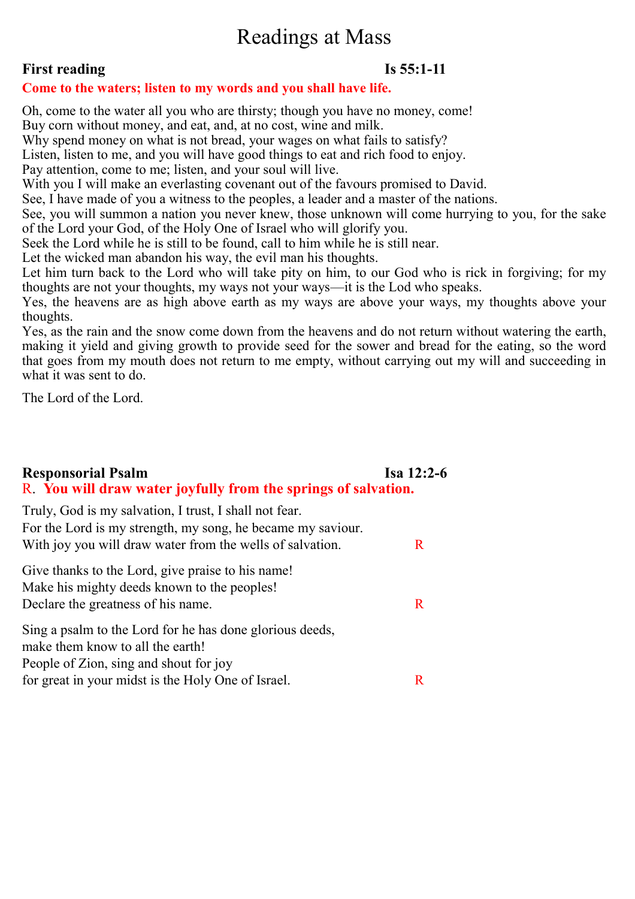# Readings at Mass

# **First reading Is 55:1-11**

# **Come to the waters; listen to my words and you shall have life.**

Oh, come to the water all you who are thirsty; though you have no money, come! Buy corn without money, and eat, and, at no cost, wine and milk. Why spend money on what is not bread, your wages on what fails to satisfy? Listen, listen to me, and you will have good things to eat and rich food to enjoy. Pay attention, come to me; listen, and your soul will live. With you I will make an everlasting covenant out of the favours promised to David. See, I have made of you a witness to the peoples, a leader and a master of the nations. See, you will summon a nation you never knew, those unknown will come hurrying to you, for the sake of the Lord your God, of the Holy One of Israel who will glorify you. Seek the Lord while he is still to be found, call to him while he is still near. Let the wicked man abandon his way, the evil man his thoughts. Let him turn back to the Lord who will take pity on him, to our God who is rick in forgiving; for my thoughts are not your thoughts, my ways not your ways—it is the Lod who speaks. Yes, the heavens are as high above earth as my ways are above your ways, my thoughts above your thoughts.

Yes, as the rain and the snow come down from the heavens and do not return without watering the earth, making it yield and giving growth to provide seed for the sower and bread for the eating, so the word that goes from my mouth does not return to me empty, without carrying out my will and succeeding in what it was sent to do.

The Lord of the Lord.

# **Responsorial Psalm Isa 12:2-6** R. **You will draw water joyfully from the springs of salvation.**

| Truly, God is my salvation, I trust, I shall not fear.      |   |
|-------------------------------------------------------------|---|
| For the Lord is my strength, my song, he became my saviour. |   |
| With joy you will draw water from the wells of salvation.   | R |
| Give thanks to the Lord, give praise to his name!           |   |
| Make his mighty deeds known to the peoples!                 |   |
| Declare the greatness of his name.                          | R |
| Sing a psalm to the Lord for he has done glorious deeds,    |   |
| make them know to all the earth!                            |   |
| People of Zion, sing and shout for joy                      |   |
| for great in your midst is the Holy One of Israel.          |   |